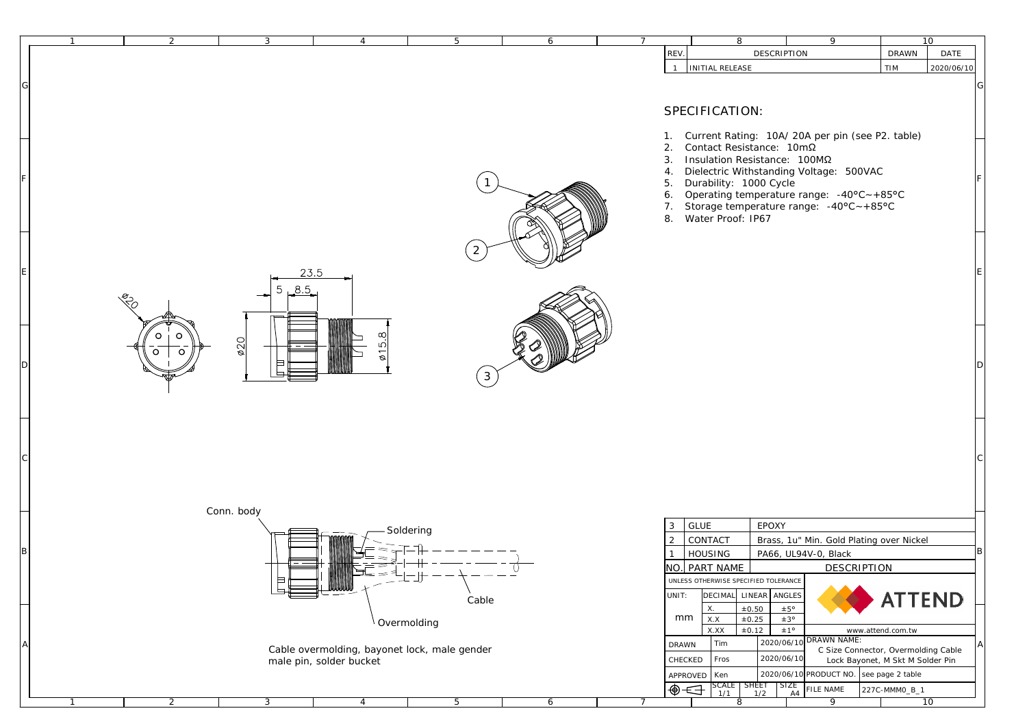|   |               |                                                                                                      | REV.<br>DESCRIPTION                                                                                                                               | 10<br><b>DRAWN</b><br><b>DATE</b>                                                                                                                                                                                                                                                                                                                                                                                                                                             |
|---|---------------|------------------------------------------------------------------------------------------------------|---------------------------------------------------------------------------------------------------------------------------------------------------|-------------------------------------------------------------------------------------------------------------------------------------------------------------------------------------------------------------------------------------------------------------------------------------------------------------------------------------------------------------------------------------------------------------------------------------------------------------------------------|
|   |               |                                                                                                      | INITIAL RELEASE<br>1                                                                                                                              | TIM<br>2020/06/10                                                                                                                                                                                                                                                                                                                                                                                                                                                             |
|   |               |                                                                                                      |                                                                                                                                                   |                                                                                                                                                                                                                                                                                                                                                                                                                                                                               |
|   |               |                                                                                                      | SPECIFICATION:                                                                                                                                    |                                                                                                                                                                                                                                                                                                                                                                                                                                                                               |
|   |               |                                                                                                      | Current Rating: 10A/20A per pin (see P2. table)<br>1.                                                                                             |                                                                                                                                                                                                                                                                                                                                                                                                                                                                               |
|   |               |                                                                                                      | 2.<br>3.                                                                                                                                          |                                                                                                                                                                                                                                                                                                                                                                                                                                                                               |
|   |               |                                                                                                      | Dielectric Withstanding Voltage: 500VAC<br>4.                                                                                                     |                                                                                                                                                                                                                                                                                                                                                                                                                                                                               |
|   |               |                                                                                                      | Operating temperature range: $-40^{\circ}C - +85^{\circ}C$<br>6.                                                                                  |                                                                                                                                                                                                                                                                                                                                                                                                                                                                               |
|   |               |                                                                                                      | 8.<br>Water Proof: IP67                                                                                                                           |                                                                                                                                                                                                                                                                                                                                                                                                                                                                               |
|   |               |                                                                                                      |                                                                                                                                                   |                                                                                                                                                                                                                                                                                                                                                                                                                                                                               |
|   |               |                                                                                                      |                                                                                                                                                   |                                                                                                                                                                                                                                                                                                                                                                                                                                                                               |
|   |               |                                                                                                      |                                                                                                                                                   |                                                                                                                                                                                                                                                                                                                                                                                                                                                                               |
|   |               |                                                                                                      |                                                                                                                                                   |                                                                                                                                                                                                                                                                                                                                                                                                                                                                               |
|   |               |                                                                                                      |                                                                                                                                                   |                                                                                                                                                                                                                                                                                                                                                                                                                                                                               |
| Ω | ഥ             |                                                                                                      |                                                                                                                                                   |                                                                                                                                                                                                                                                                                                                                                                                                                                                                               |
|   | ═             |                                                                                                      |                                                                                                                                                   |                                                                                                                                                                                                                                                                                                                                                                                                                                                                               |
|   |               |                                                                                                      |                                                                                                                                                   |                                                                                                                                                                                                                                                                                                                                                                                                                                                                               |
|   |               |                                                                                                      |                                                                                                                                                   |                                                                                                                                                                                                                                                                                                                                                                                                                                                                               |
|   |               |                                                                                                      |                                                                                                                                                   |                                                                                                                                                                                                                                                                                                                                                                                                                                                                               |
|   |               |                                                                                                      |                                                                                                                                                   |                                                                                                                                                                                                                                                                                                                                                                                                                                                                               |
|   |               |                                                                                                      |                                                                                                                                                   |                                                                                                                                                                                                                                                                                                                                                                                                                                                                               |
|   |               |                                                                                                      |                                                                                                                                                   |                                                                                                                                                                                                                                                                                                                                                                                                                                                                               |
|   |               |                                                                                                      | $3$ GLUE<br><b>EPOXY</b>                                                                                                                          |                                                                                                                                                                                                                                                                                                                                                                                                                                                                               |
|   |               |                                                                                                      | $2$ CONTACT<br>Brass, 1u" Min. Gold Plating over Nickel                                                                                           |                                                                                                                                                                                                                                                                                                                                                                                                                                                                               |
|   | $\Rightarrow$ |                                                                                                      | NO. PART NAME<br><b>DESCRIPTION</b>                                                                                                               |                                                                                                                                                                                                                                                                                                                                                                                                                                                                               |
|   | 巨             |                                                                                                      | UNLESS OTHERWISE SPECIFIED TOLERANCE                                                                                                              |                                                                                                                                                                                                                                                                                                                                                                                                                                                                               |
|   |               | ${\rm Cable}$                                                                                        | ±0.50<br>±5°<br>X.                                                                                                                                | <b>ATTEND</b>                                                                                                                                                                                                                                                                                                                                                                                                                                                                 |
|   |               |                                                                                                      | $\pm 0.12$<br>±1°<br>$\mathbf{X}.\mathbf{X}\mathbf{X}$<br>www.attend.com.tw                                                                       |                                                                                                                                                                                                                                                                                                                                                                                                                                                                               |
|   |               |                                                                                                      | 2020/06/10<br>Tim<br>$\mathbf{DRAWN}$                                                                                                             | C Size Connector, Overmolding Cable                                                                                                                                                                                                                                                                                                                                                                                                                                           |
|   |               |                                                                                                      | PRODUCT NO.<br>2020/06/10                                                                                                                         | see page 2 table                                                                                                                                                                                                                                                                                                                                                                                                                                                              |
|   |               |                                                                                                      | $\begin{array}{ c c c c c }\n \text{SCALE} & \text{SHEET} & \text{SIZE} \\ \hline\n 1/1 & 1/2 & \text{A4}\n \end{array}$<br>$\oplus$<br>FILE NAME | 227C-MMM0_B_1                                                                                                                                                                                                                                                                                                                                                                                                                                                                 |
|   | 2<br>◠        | 3<br>$\overline{4}$<br>23.5<br>8.5<br>5<br>020<br>Conn. body<br>$\,$ $\,$<br>male pin, solder bucket | 6<br>5<br>2<br>$\mathbf{3}$<br>Soldering<br>Overmolding<br>Cable overmolding, bayonet lock, male gender                                           | $\overline{9}$<br>$7\overline{ }$<br>8<br>Contact Resistance: 10mΩ<br>Insulation Resistance: 100ΜΩ<br>Durability: 1000 Cycle<br>5.<br>7.<br>Storage temperature range: $-40^{\circ}$ C $\sim +85^{\circ}$ C<br>HOUSING<br>PA66, UL94V-0, Black<br>$\mathbf{1}$<br>LINEAR ANGLES<br><b>DECIMAL</b><br>UNIT:<br>mm<br>$\mathbf{X}.\mathbf{X}$<br>$\pm 0.25$<br>±3°<br><b>DRAWN NAME:</b><br>2020/06/10<br>Fros<br>CHECKED<br>Lock Bayonet, M Skt M Solder Pin<br>APPROVED   Ken |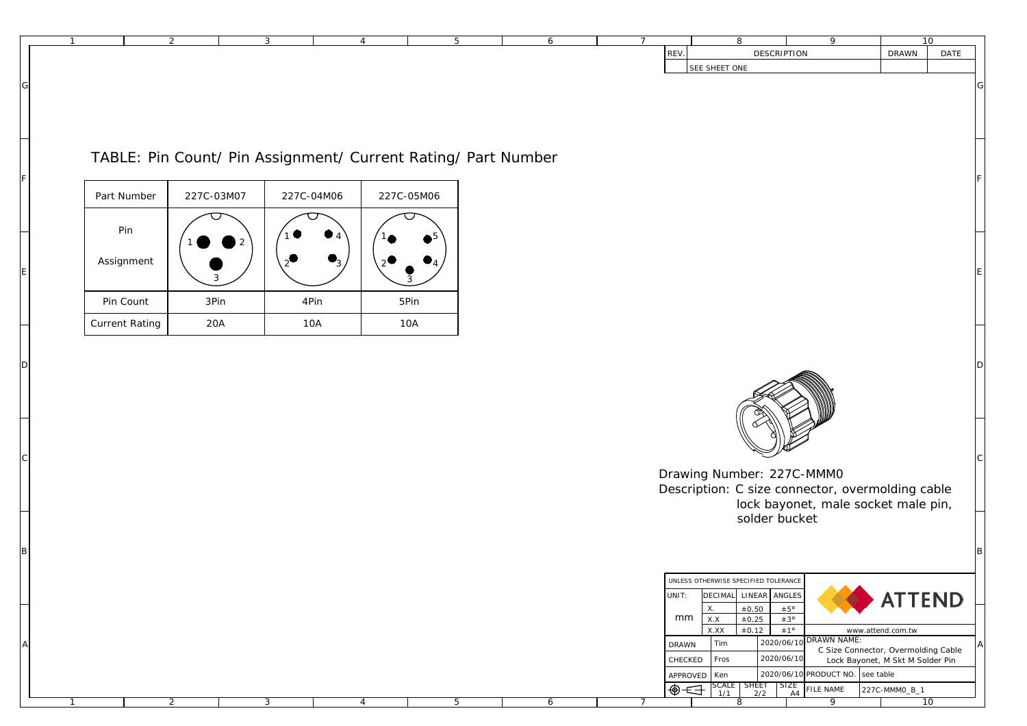|                       | $\overline{2}$ | $\mathbf{3}$                                                  | $\overline{4}$ | 6<br>$5\overline{)}$ | 10<br>$7\overline{ }$<br>8<br>9<br>REV.<br>DESCRIPTION<br>$\mathop{\rm DRAWN}\nolimits$<br>SEE SHEET ONE                                                                                                                      |
|-----------------------|----------------|---------------------------------------------------------------|----------------|----------------------|-------------------------------------------------------------------------------------------------------------------------------------------------------------------------------------------------------------------------------|
|                       |                |                                                               |                |                      |                                                                                                                                                                                                                               |
|                       |                |                                                               |                |                      |                                                                                                                                                                                                                               |
|                       |                | TABLE: Pin Count/ Pin Assignment/ Current Rating/ Part Number |                |                      |                                                                                                                                                                                                                               |
|                       |                |                                                               |                |                      |                                                                                                                                                                                                                               |
| Part Number           | 227C-03M07     | 227C-04M06                                                    | 227C-05M06     |                      |                                                                                                                                                                                                                               |
| Pin                   |                |                                                               |                |                      |                                                                                                                                                                                                                               |
| Assignment            | २              |                                                               |                |                      |                                                                                                                                                                                                                               |
| Pin Count             | 3Pin           | 4Pin                                                          | 5Pin           |                      |                                                                                                                                                                                                                               |
| <b>Current Rating</b> | $20\mbox{\AA}$ | 10A                                                           | 10A            |                      |                                                                                                                                                                                                                               |
|                       |                |                                                               |                |                      |                                                                                                                                                                                                                               |
|                       |                |                                                               |                |                      | Drawing Number: 227C-MMM0<br>Description: C size connector, overmolding cable                                                                                                                                                 |
|                       |                |                                                               |                |                      | lock bayonet, male socket male pin,<br>solder bucket                                                                                                                                                                          |
|                       |                |                                                               |                |                      |                                                                                                                                                                                                                               |
|                       |                |                                                               |                |                      |                                                                                                                                                                                                                               |
|                       |                |                                                               |                |                      | UNLESS OTHERWISE SPECIFIED TOLERANCE<br><b>ATTEND</b><br><b>DECIMAL</b><br>LINEAR ANGLES<br>UNIT:<br>±0.50<br>±5°<br>X.<br>mm<br>X.X<br>±3°<br>±0.25                                                                          |
|                       |                |                                                               |                |                      | ±1°<br>X.XX<br>$\pm 0.12$<br>www.attend.com.tw<br>DRAWN NAME:<br>2020/06/10<br>Tim<br><b>DRAWN</b><br>C Size Connector, Overmolding Cable<br>2020/06/10<br>Fros<br>CHECKED<br>Lock Bayonet, M Skt M Solder Pin                |
|                       |                |                                                               |                |                      | $2020/06/10$ PRODUCT NO. see table<br>APPROVED   Ken<br>$\begin{array}{ c c c c c }\n \hline\n \text{SCALE} & \text{SHEET} & \text{SIZE} \\ \hline\n 1/1 & 2/2 & \text{A4}\n \end{array}$<br>⊕←<br>FILE NAME<br>227C-MMM0_B_1 |
|                       |                |                                                               |                |                      |                                                                                                                                                                                                                               |